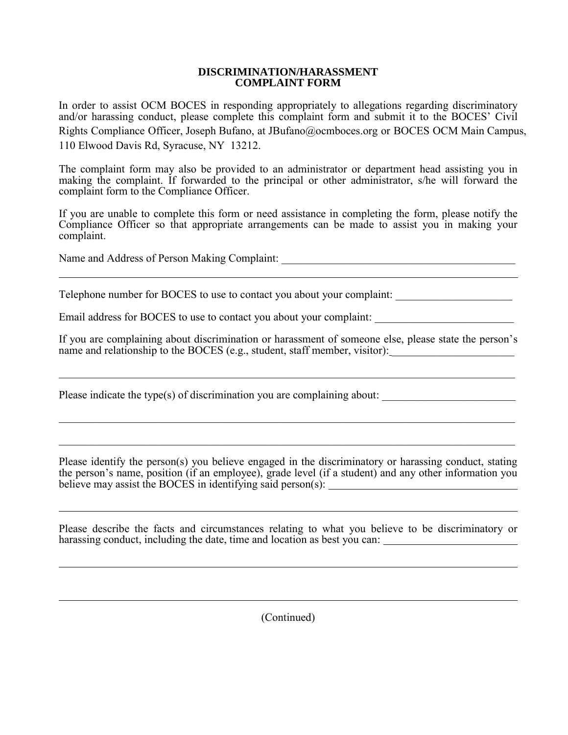## **DISCRIMINATION/HARASSMENT COMPLAINT FORM**

In order to assist OCM BOCES in responding appropriately to allegations regarding discriminatory and/or harassing conduct, please complete this complaint form and submit it to the BOCES' Civil Rights Compliance Officer, Joseph Bufano, at JBufan[o@ocmboces.o](mailto:MPettitt@ocmboces.org)rg or BOCES OCM Main Campus, 110 Elwood Davis Rd, Syracuse, NY 13212.

The complaint form may also be provided to an administrator or department head assisting you in making the complaint. If forwarded to the principal or other administrator, s/he will forward the complaint form to the Compliance Officer.

If you are unable to complete this form or need assistance in completing the form, please notify the Compliance Officer so that appropriate arrangements can be made to assist you in making your complaint.

Name and Address of Person Making Complaint: \_\_\_\_\_\_\_\_\_\_\_\_\_\_\_\_\_\_\_\_\_\_\_\_\_\_\_\_\_\_\_\_\_\_\_\_\_\_\_\_\_\_

Telephone number for BOCES to use to contact you about your complaint: \_\_\_\_\_\_\_\_\_\_\_\_\_\_\_\_\_\_\_\_\_

Email address for BOCES to use to contact you about your complaint:

If you are complaining about discrimination or harassment of someone else, please state the person's name and relationship to the BOCES (e.g., student, staff member, visitor): \_\_\_\_\_\_\_\_\_\_\_\_\_\_\_\_\_\_\_\_\_\_\_\_\_\_\_\_\_\_\_\_\_\_\_

\_\_\_\_\_\_\_\_\_\_\_\_\_\_\_\_\_\_\_\_\_\_\_\_\_\_\_\_\_\_\_\_\_\_\_\_\_\_\_\_\_\_\_\_\_\_\_\_\_\_\_\_\_\_\_\_\_\_\_\_\_\_\_\_\_\_\_\_\_\_\_\_\_\_\_\_\_\_\_\_\_\_

\_\_\_\_\_\_\_\_\_\_\_\_\_\_\_\_\_\_\_\_\_\_\_\_\_\_\_\_\_\_\_\_\_\_\_\_\_\_\_\_\_\_\_\_\_\_\_\_\_\_\_\_\_\_\_\_\_\_\_\_\_\_\_\_\_\_\_\_\_\_\_\_\_\_\_\_\_\_\_\_\_\_

\_\_\_\_\_\_\_\_\_\_\_\_\_\_\_\_\_\_\_\_\_\_\_\_\_\_\_\_\_\_\_\_\_\_\_\_\_\_\_\_\_\_\_\_\_\_\_\_\_\_\_\_\_\_\_\_\_\_\_\_\_\_\_\_\_\_\_\_\_\_\_\_\_\_\_\_\_\_\_\_\_\_

Please indicate the type(s) of discrimination you are complaining about: \_\_\_\_\_\_\_\_\_\_\_\_\_\_\_\_\_\_\_\_\_\_\_\_

Please identify the person(s) you believe engaged in the discriminatory or harassing conduct, stating the person's name, position (if an employee), grade level (if a student) and any other information you believe may assist the BOCES in identifying said person(s):

Please describe the facts and circumstances relating to what you believe to be discriminatory or harassing conduct, including the date, time and location as best you can:

(Continued)